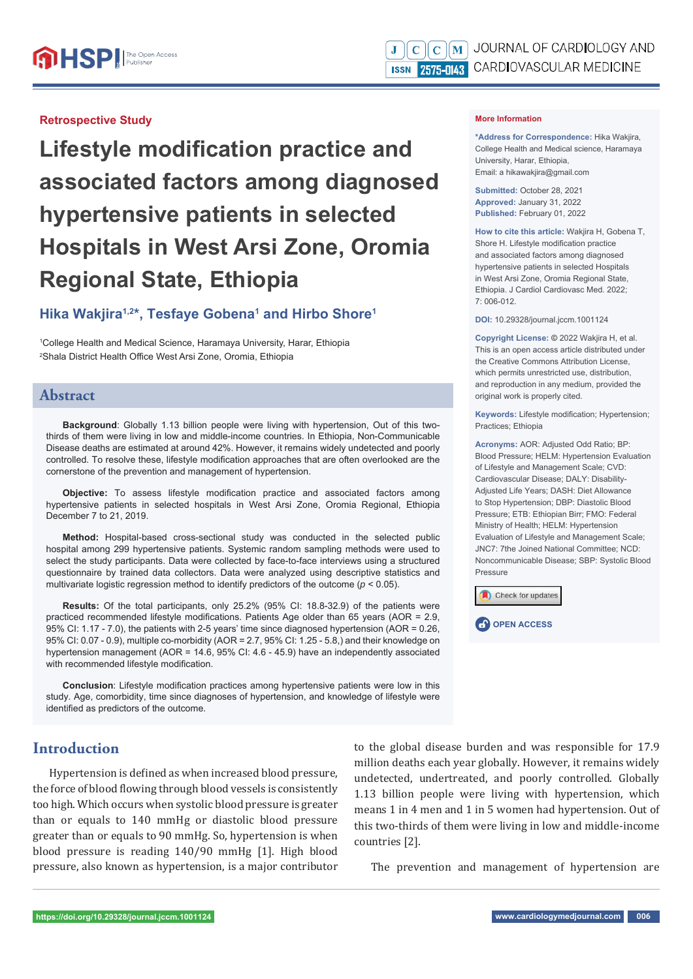### **Retrospective Study**

**Lifestyle modification practice and associated factors among diagnosed hypertensive patients in selected Hospitals in West Arsi Zone, Oromia Regional State, Ethiopia**

# Hika Wakjira<sup>1,2\*</sup>, Tesfaye Gobena<sup>1</sup> and Hirbo Shore<sup>1</sup>

1 College Health and Medical Science, Haramaya University, Harar, Ethiopia <sup>2</sup>Shala District Health Office West Arsi Zone, Oromia, Ethiopia

### **Abstract**

**Background**: Globally 1.13 billion people were living with hypertension, Out of this twothirds of them were living in low and middle-income countries. In Ethiopia, Non-Communicable Disease deaths are estimated at around 42%. However, it remains widely undetected and poorly controlled. To resolve these, lifestyle modification approaches that are often overlooked are the cornerstone of the prevention and management of hypertension.

**Objective:** To assess lifestyle modification practice and associated factors among hypertensive patients in selected hospitals in West Arsi Zone, Oromia Regional, Ethiopia December 7 to 21, 2019.

**Method:** Hospital-based cross-sectional study was conducted in the selected public hospital among 299 hypertensive patients. Systemic random sampling methods were used to select the study participants. Data were collected by face-to-face interviews using a structured questionnaire by trained data collectors. Data were analyzed using descriptive statistics and multivariate logistic regression method to identify predictors of the outcome (*p* < 0.05).

**Results:** Of the total participants, only 25.2% (95% CI: 18.8-32.9) of the patients were practiced recommended lifestyle modifications. Patients Age older than 65 years (AOR =  $2.9$ , 95% CI: 1.17 - 7.0), the patients with 2-5 years' time since diagnosed hypertension (AOR = 0.26, 95% CI: 0.07 - 0.9), multiple co-morbidity (AOR = 2.7, 95% CI: 1.25 - 5.8,) and their knowledge on hypertension management (AOR = 14.6, 95% CI: 4.6 - 45.9) have an independently associated with recommended lifestyle modification.

**Conclusion**: Lifestyle modification practices among hypertensive patients were low in this study. Age, comorbidity, time since diagnoses of hypertension, and knowledge of lifestyle were identified as predictors of the outcome.

# **Introduction**

Hypertension is defined as when increased blood pressure, the force of blood flowing through blood vessels is consistently too high. Which occurs when systolic blood pressure is greater than or equals to 140 mmHg or diastolic blood pressure greater than or equals to 90 mmHg. So, hypertension is when blood pressure is reading 140/90 mmHg [1]. High blood pressure, also known as hypertension, is a major contributor to the global disease burden and was responsible for 17.9 million deaths each year globally. However, it remains widely undetected, undertreated, and poorly controlled. Globally 1.13 billion people were living with hypertension, which means 1 in 4 men and 1 in 5 women had hypertension. Out of this two-thirds of them were living in low and middle-income countries [2].

The prevention and management of hypertension are

**\*Address for Correspondence:** Hika Wakjira, College Health and Medical science, Haramaya University, Harar, Ethiopia, Email: a hikawakjira@gmail.com

**Submitted:** October 28, 2021 **Approved:** January 31, 2022 **Published:** February 01, 2022

**How to cite this article:** Wakjira H, Gobena T, Shore H. Lifestyle modification practice and associated factors among diagnosed hypertensive patients in selected Hospitals in West Arsi Zone, Oromia Regional State, Ethiopia. J Cardiol Cardiovasc Med. 2022; 7: 006-012.

**DOI:** 10.29328/journal.jccm.1001124

**Copyright License: ©** 2022 Wakjira H, et al. This is an open access article distributed under the Creative Commons Attribution License, which permits unrestricted use, distribution, and reproduction in any medium, provided the original work is properly cited.

Keywords: Lifestyle modification; Hypertension; Practices; Ethiopia

**Acronyms:** AOR: Adjusted Odd Ratio; BP: Blood Pressure; HELM: Hypertension Evaluation of Lifestyle and Management Scale; CVD: Cardiovascular Disease; DALY: Disability-Adjusted Life Years; DASH: Diet Allowance to Stop Hypertension; DBP: Diastolic Blood Pressure; ETB: Ethiopian Birr; FMO: Federal Ministry of Health; HELM: Hypertension Evaluation of Lifestyle and Management Scale; JNC7: 7the Joined National Committee; NCD: Noncommunicable Disease; SBP: Systolic Blood Pressure



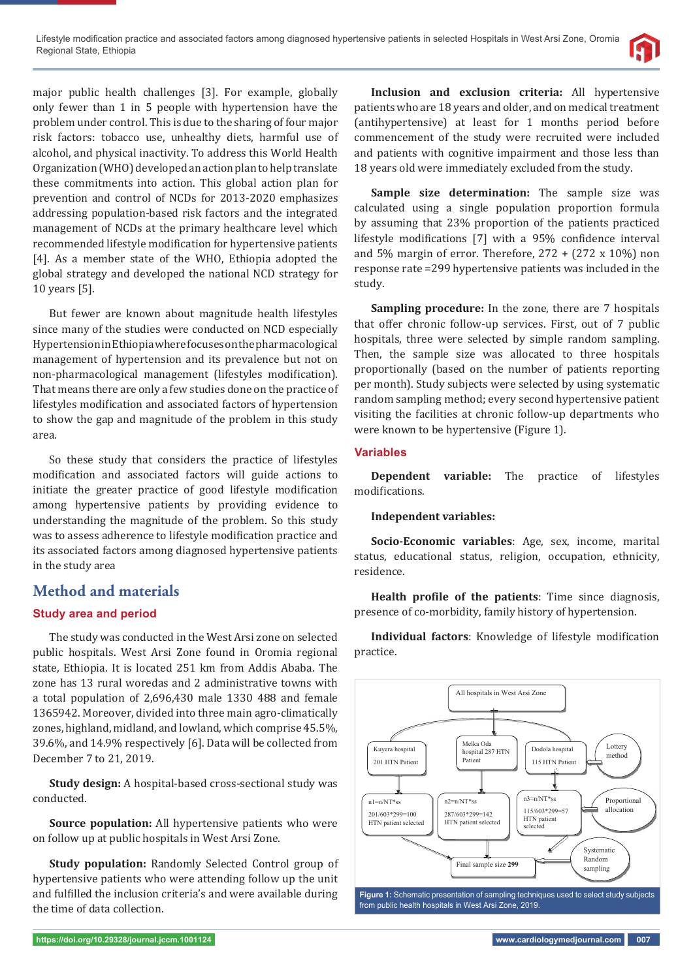

major public health challenges [3]. For example, globally only fewer than 1 in 5 people with hypertension have the problem under control. This is due to the sharing of four major risk factors: tobacco use, unhealthy diets, harmful use of alcohol, and physical inactivity. To address this World Health Organization (WHO) developed an action plan to help translate these commitments into action. This global action plan for prevention and control of NCDs for 2013-2020 emphasizes addressing population-based risk factors and the integrated management of NCDs at the primary healthcare level which recommended lifestyle modification for hypertensive patients [4]. As a member state of the WHO, Ethiopia adopted the global strategy and developed the national NCD strategy for 10 years [5].

But fewer are known about magnitude health lifestyles since many of the studies were conducted on NCD especially Hypertension in Ethiopia where focuses on the pharmacological management of hypertension and its prevalence but not on non-pharmacological management (lifestyles modification). That means there are only a few studies done on the practice of lifestyles modification and associated factors of hypertension to show the gap and magnitude of the problem in this study area.

So these study that considers the practice of lifestyles modification and associated factors will guide actions to initiate the greater practice of good lifestyle modification among hypertensive patients by providing evidence to understanding the magnitude of the problem. So this study was to assess adherence to lifestyle modification practice and its associated factors among diagnosed hypertensive patients in the study area

# **Method and materials**

### **Study area and period**

The study was conducted in the West Arsi zone on selected public hospitals. West Arsi Zone found in Oromia regional state, Ethiopia. It is located 251 km from Addis Ababa. The zone has 13 rural woredas and 2 administrative towns with a total population of 2,696,430 male 1330 488 and female 1365942. Moreover, divided into three main agro-climatically zones, highland, midland, and lowland, which comprise 45.5%, 39.6%, and 14.9% respectively [6]. Data will be collected from December 7 to 21, 2019.

**Study design:** A hospital-based cross-sectional study was conducted.

**Source population:** All hypertensive patients who were on follow up at public hospitals in West Arsi Zone.

**Study population:** Randomly Selected Control group of hypertensive patients who were attending follow up the unit and fulfilled the inclusion criteria's and were available during the time of data collection.

**Inclusion and exclusion criteria:** All hypertensive patients who are 18 years and older, and on medical treatment (antihypertensive) at least for 1 months period before commencement of the study were recruited were included and patients with cognitive impairment and those less than 18 years old were immediately excluded from the study.

**Sample size determination:** The sample size was calculated using a single population proportion formula by assuming that 23% proportion of the patients practiced lifestyle modifications [7] with a 95% confidence interval and 5% margin of error. Therefore,  $272 + (272 \times 10\%)$  non response rate =299 hypertensive patients was included in the study.

**Sampling procedure:** In the zone, there are 7 hospitals that offer chronic follow-up services. First, out of 7 public hospitals, three were selected by simple random sampling. Then, the sample size was allocated to three hospitals proportionally (based on the number of patients reporting per month). Study subjects were selected by using systematic random sampling method; every second hypertensive patient visiting the facilities at chronic follow-up departments who were known to be hypertensive (Figure 1).

### **Variables**

**Dependent variable:** The practice of lifestyles modifications.

### **Independent variables:**

**Socio-Economic variables**: Age, sex, income, marital status, educational status, religion, occupation, ethnicity, residence.

**Health profile of the patients:** Time since diagnosis, presence of co-morbidity, family history of hypertension.

**Individual factors**: Knowledge of lifestyle modification practice.



**Figure 1:** Schematic presentation of sampling techniques used to select study subjects from public health hospitals in West Arsi Zone, 2019.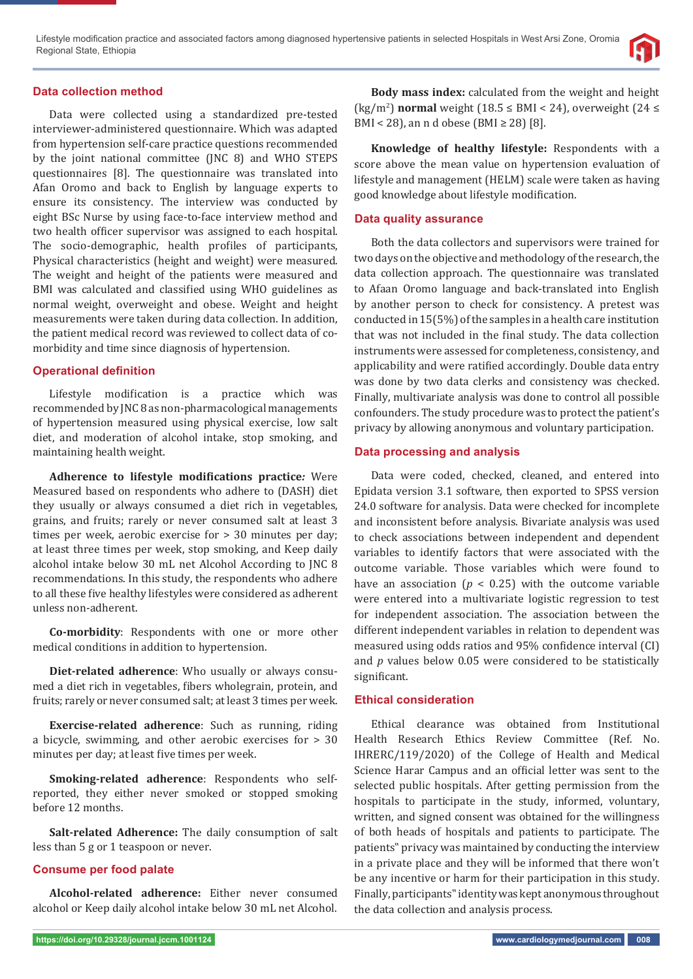#### **Data collection method**

Data were collected using a standardized pre-tested interviewer-administered questionnaire. Which was adapted from hypertension self-care practice questions recommended by the joint national committee (JNC 8) and WHO STEPS questionnaires [8]. The questionnaire was translated into Afan Oromo and back to English by language experts to ensure its consistency. The interview was conducted by eight BSc Nurse by using face-to-face interview method and two health officer supervisor was assigned to each hospital. The socio-demographic, health profiles of participants, Physical characteristics (height and weight) were measured. The weight and height of the patients were measured and BMI was calculated and classified using WHO guidelines as normal weight, overweight and obese. Weight and height measurements were taken during data collection. In addition, the patient medical record was reviewed to collect data of comorbidity and time since diagnosis of hypertension.

#### **Operational definition**

Lifestyle modification is a practice which was recommended by JNC 8 as non-pharmacological managements of hypertension measured using physical exercise, low salt diet, and moderation of alcohol intake, stop smoking, and maintaining health weight.

**Adherence to lifestyle modifications practice:** Were Measured based on respondents who adhere to (DASH) diet they usually or always consumed a diet rich in vegetables, grains, and fruits; rarely or never consumed salt at least 3 times per week, aerobic exercise for > 30 minutes per day; at least three times per week, stop smoking, and Keep daily alcohol intake below 30 mL net Alcohol According to JNC 8 recommendations. In this study, the respondents who adhere to all these five healthy lifestyles were considered as adherent unless non-adherent.

**Co-morbidity**: Respondents with one or more other medical conditions in addition to hypertension.

**Diet-related adherence**: Who usually or always consumed a diet rich in vegetables, fibers wholegrain, protein, and fruits; rarely or never consumed salt; at least 3 times per week.

**Exercise-related adherence**: Such as running, riding a bicycle, swimming, and other aerobic exercises for > 30 minutes per day; at least five times per week.

**Smoking-related adherence**: Respondents who selfreported, they either never smoked or stopped smoking before 12 months.

**Salt-related Adherence:** The daily consumption of salt less than 5 g or 1 teaspoon or never.

#### **Consume per food palate**

**Alcohol-related adherence:** Either never consumed alcohol or Keep daily alcohol intake below 30 mL net Alcohol.

**Body mass index:** calculated from the weight and height (kg/m<sup>2</sup>) **normal** weight (18.5  $\leq$  BMI < 24), overweight (24  $\leq$ BMI < 28), an n d obese (BMI  $\geq$  28) [8].

**Knowledge of healthy lifestyle:** Respondents with a score above the mean value on hypertension evaluation of lifestyle and management (HELM) scale were taken as having good knowledge about lifestyle modification.

#### **Data quality assurance**

Both the data collectors and supervisors were trained for two days on the objective and methodology of the research, the data collection approach. The questionnaire was translated to Afaan Oromo language and back-translated into English by another person to check for consistency. A pretest was conducted in 15(5%) of the samples in a health care institution that was not included in the final study. The data collection instruments were assessed for completeness, consistency, and applicability and were ratified accordingly. Double data entry was done by two data clerks and consistency was checked. Finally, multivariate analysis was done to control all possible confounders. The study procedure was to protect the patient's privacy by allowing anonymous and voluntary participation.

#### **Data processing and analysis**

Data were coded, checked, cleaned, and entered into Epidata version 3.1 software, then exported to SPSS version 24.0 software for analysis. Data were checked for incomplete and inconsistent before analysis. Bivariate analysis was used to check associations between independent and dependent variables to identify factors that were associated with the outcome variable. Those variables which were found to have an association ( $p < 0.25$ ) with the outcome variable were entered into a multivariate logistic regression to test for independent association. The association between the different independent variables in relation to dependent was measured using odds ratios and 95% confidence interval (CI) and *p* values below 0.05 were considered to be statistically significant.

#### **Ethical consideration**

Ethical clearance was obtained from Institutional Health Research Ethics Review Committee (Ref. No. IHRERC/119/2020) of the College of Health and Medical Science Harar Campus and an official letter was sent to the selected public hospitals. After getting permission from the hospitals to participate in the study, informed, voluntary, written, and signed consent was obtained for the willingness of both heads of hospitals and patients to participate. The patients" privacy was maintained by conducting the interview in a private place and they will be informed that there won't be any incentive or harm for their participation in this study. Finally, participants" identity was kept anonymous throughout the data collection and analysis process.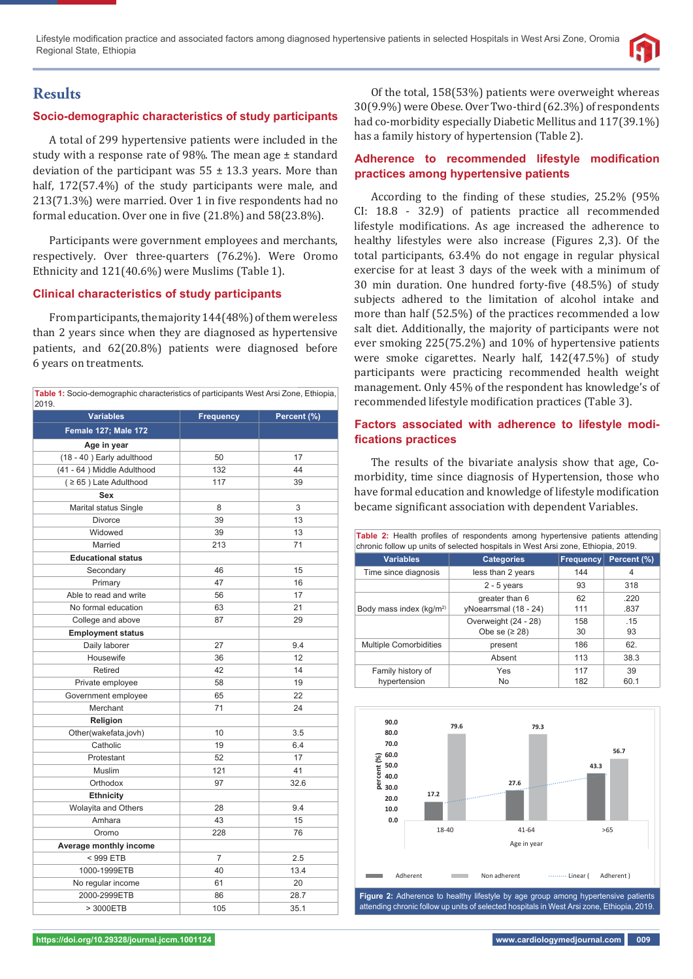

# **Results**

# **Socio-demographic characteristics of study participants**

A total of 299 hypertensive patients were included in the study with a response rate of 98%. The mean age ± standard deviation of the participant was  $55 \pm 13.3$  years. More than half, 172(57.4%) of the study participants were male, and 213(71.3%) were married. Over 1 in five respondents had no formal education. Over one in five  $(21.8\%)$  and  $58(23.8\%)$ .

Participants were government employees and merchants, respectively. Over three-quarters (76.2%). Were Oromo Ethnicity and 121(40.6%) were Muslims (Table 1).

# **Clinical characteristics of study participants**

From participants, the majority 144(48%) of them were less than 2 years since when they are diagnosed as hypertensive patients, and 62(20.8%) patients were diagnosed before 6 years on treatments.

| Table 1: Socio-demographic characteristics of participants West Arsi Zone, Ethiopia,<br>2019. |                  |             |  |  |
|-----------------------------------------------------------------------------------------------|------------------|-------------|--|--|
| <b>Variables</b>                                                                              | <b>Frequency</b> | Percent (%) |  |  |
| <b>Female 127; Male 172</b>                                                                   |                  |             |  |  |
| Age in year                                                                                   |                  |             |  |  |
| (18 - 40) Early adulthood                                                                     | 50               | 17          |  |  |
| (41 - 64) Middle Adulthood                                                                    | 132              | 44          |  |  |
| $( \geq 65)$ Late Adulthood                                                                   | 117              | 39          |  |  |
| Sex                                                                                           |                  |             |  |  |
| Marital status Single                                                                         | 8                | 3           |  |  |
| Divorce                                                                                       | 39               | 13          |  |  |
| Widowed                                                                                       | 39               | 13          |  |  |
| Married                                                                                       | 213              | 71          |  |  |
| <b>Educational status</b>                                                                     |                  |             |  |  |
| Secondary                                                                                     | 46               | 15          |  |  |
| Primary                                                                                       | 47               | 16          |  |  |
| Able to read and write                                                                        | 56               | 17          |  |  |
| No formal education                                                                           | 63               | 21          |  |  |
| College and above                                                                             | 87               | 29          |  |  |
| <b>Employment status</b>                                                                      |                  |             |  |  |
| Daily laborer                                                                                 | 27               | 9.4         |  |  |
| Housewife                                                                                     | 36               | 12          |  |  |
| Retired                                                                                       | 42               | 14          |  |  |
| Private employee                                                                              | 58               | 19          |  |  |
| Government employee                                                                           | 65               | 22          |  |  |
| Merchant                                                                                      | 71               | 24          |  |  |
| Religion                                                                                      |                  |             |  |  |
| Other(wakefata,jovh)                                                                          | 10               | 3.5         |  |  |
| Catholic                                                                                      | 19               | 6.4         |  |  |
| Protestant                                                                                    | 52               | 17          |  |  |
| Muslim                                                                                        | 121              | 41          |  |  |
| Orthodox                                                                                      | 97               | 32.6        |  |  |
| <b>Ethnicity</b>                                                                              |                  |             |  |  |
| Wolayita and Others                                                                           | 28               | 9.4         |  |  |
| Amhara                                                                                        | 43               | 15          |  |  |
| Oromo                                                                                         | 228              | 76          |  |  |
| Average monthly income                                                                        |                  |             |  |  |
| < 999 ETB                                                                                     | $\overline{7}$   | 2.5         |  |  |
| 1000-1999ETB                                                                                  | 40               | 13.4        |  |  |
| No regular income                                                                             | 61               | 20          |  |  |
| 2000-2999ETB                                                                                  | 86               | 28.7        |  |  |
| > 3000ETB                                                                                     | 105              | 35.1        |  |  |

Of the total, 158(53%) patients were overweight whereas 30(9.9%) were Obese. Over Two-third (62.3%) of respondents had co-morbidity especially Diabetic Mellitus and 117(39.1%) has a family history of hypertension (Table 2).

### **Adherence to recommended lifestyle modification practices among hypertensive patients**

According to the finding of these studies, 25.2% (95% CI: 18.8 - 32.9) of patients practice all recommended lifestyle modifications. As age increased the adherence to healthy lifestyles were also increase (Figures 2,3). Of the total participants, 63.4% do not engage in regular physical exercise for at least 3 days of the week with a minimum of 30 min duration. One hundred forty-five (48.5%) of study subjects adhered to the limitation of alcohol intake and more than half (52.5%) of the practices recommended a low salt diet. Additionally, the majority of participants were not ever smoking 225(75.2%) and 10% of hypertensive patients were smoke cigarettes. Nearly half, 142(47.5%) of study participants were practicing recommended health weight management. Only 45% of the respondent has knowledge's of recommended lifestyle modification practices (Table 3).

### **Factors associated with adherence to lifestyle modifi cations practices**

The results of the bivariate analysis show that age, Comorbidity, time since diagnosis of Hypertension, those who have formal education and knowledge of lifestyle modification became significant association with dependent Variables.

| <b>Table 2:</b> Health profiles of respondents among hypertensive patients attending<br>chronic follow up units of selected hospitals in West Arsi zone, Ethiopia, 2019. |                       |                  |             |  |  |
|--------------------------------------------------------------------------------------------------------------------------------------------------------------------------|-----------------------|------------------|-------------|--|--|
| <b>Variables</b>                                                                                                                                                         | <b>Categories</b>     | <b>Frequency</b> | Percent (%) |  |  |
| Time since diagnosis                                                                                                                                                     | less than 2 years     | 144              | 4           |  |  |
|                                                                                                                                                                          | $2 - 5$ years         | 93               | 318         |  |  |
|                                                                                                                                                                          | greater than 6        | 62               | .220        |  |  |
| Body mass index $(kq/m2)$                                                                                                                                                | vNoearrsmal (18 - 24) | 111              | .837        |  |  |
|                                                                                                                                                                          | Overweight (24 - 28)  | 158              | .15         |  |  |
|                                                                                                                                                                          | Obe se $(≥ 28)$       | 30               | 93          |  |  |
| <b>Multiple Comorbidities</b>                                                                                                                                            | present               | 186              | 62.         |  |  |
|                                                                                                                                                                          | Absent                | 113              | 38.3        |  |  |
| Family history of                                                                                                                                                        | Yes                   | 117              | 39          |  |  |
| hypertension                                                                                                                                                             | No                    | 182              | 60.1        |  |  |



attending chronic follow up units of selected hospitals in West Arsi zone, Ethiopia, 2019.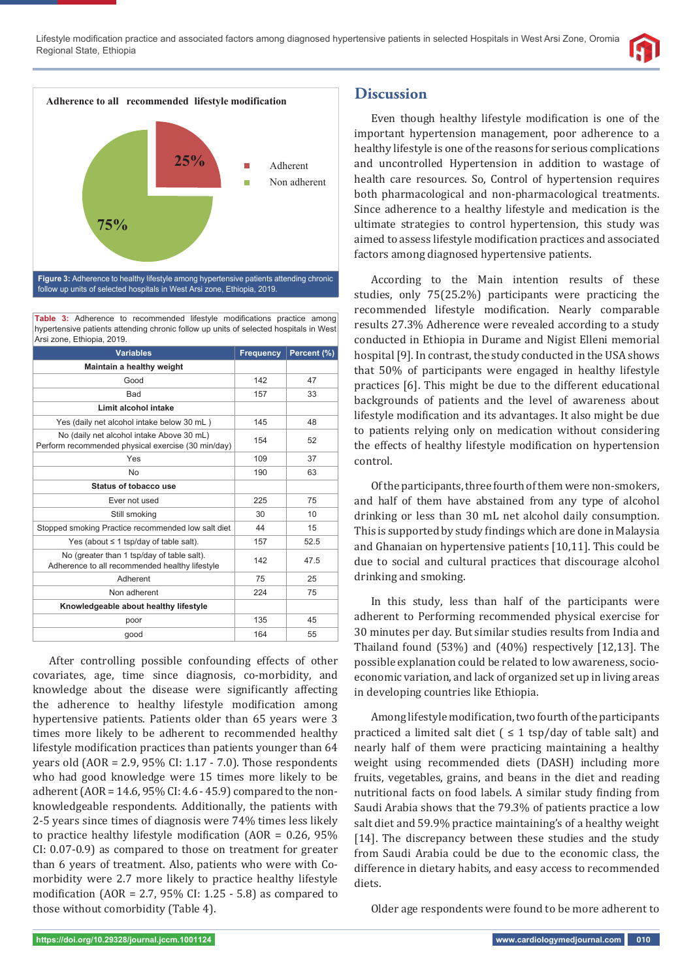



Table 3: Adherence to recommended lifestyle modifications practice among hypertensive patients attending chronic follow up units of selected hospitals in West Arsi zone, Ethiopia, 2019.

| <b>Variables</b>                                                                                | <b>Frequency</b> | Percent (%) |
|-------------------------------------------------------------------------------------------------|------------------|-------------|
| Maintain a healthy weight                                                                       |                  |             |
| Good                                                                                            | 142              | 47          |
| Bad                                                                                             | 157              | 33          |
| Limit alcohol intake                                                                            |                  |             |
| Yes (daily net alcohol intake below 30 mL)                                                      | 145              | 48          |
| No (daily net alcohol intake Above 30 mL)<br>Perform recommended physical exercise (30 min/day) | 154              | 52          |
| Yes                                                                                             | 109              | 37          |
| <b>No</b>                                                                                       | 190              | 63          |
| Status of tobacco use                                                                           |                  |             |
| Ever not used                                                                                   | 225              | 75          |
| Still smoking                                                                                   | 30               | 10          |
| Stopped smoking Practice recommended low salt diet                                              | 44               | 15          |
| Yes (about $\leq$ 1 tsp/day of table salt).                                                     | 157              | 52.5        |
| No (greater than 1 tsp/day of table salt).<br>Adherence to all recommended healthy lifestyle    | 142              | 47.5        |
| Adherent                                                                                        | 75               | 25          |
| Non adherent                                                                                    | 224              | 75          |
| Knowledgeable about healthy lifestyle                                                           |                  |             |
| poor                                                                                            | 135              | 45          |
| qood                                                                                            | 164              | 55          |

After controlling possible confounding effects of other covariates, age, time since diagnosis, co-morbidity, and knowledge about the disease were significantly affecting the adherence to healthy lifestyle modification among hypertensive patients. Patients older than 65 years were 3 times more likely to be adherent to recommended healthy lifestyle modification practices than patients younger than 64 years old (AOR = 2.9, 95% CI: 1.17 - 7.0). Those respondents who had good knowledge were 15 times more likely to be adherent (AOR = 14.6, 95% CI: 4.6 - 45.9) compared to the nonknowledgeable respondents. Additionally, the patients with 2-5 years since times of diagnosis were 74% times less likely to practice healthy lifestyle modification  $(AOR = 0.26, 95\%)$ CI: 0.07-0.9) as compared to those on treatment for greater than 6 years of treatment. Also, patients who were with Comorbidity were 2.7 more likely to practice healthy lifestyle modification ( $AOR = 2.7$ ,  $95\%$  CI: 1.25 - 5.8) as compared to those without comorbidity (Table 4).

# **Discussion**

Even though healthy lifestyle modification is one of the important hypertension management, poor adherence to a healthy lifestyle is one of the reasons for serious complications and uncontrolled Hypertension in addition to wastage of health care resources. So, Control of hypertension requires both pharmacological and non-pharmacological treatments. Since adherence to a healthy lifestyle and medication is the ultimate strategies to control hypertension, this study was aimed to assess lifestyle modification practices and associated factors among diagnosed hypertensive patients.

According to the Main intention results of these studies, only 75(25.2%) participants were practicing the recommended lifestyle modification. Nearly comparable results 27.3% Adherence were revealed according to a study conducted in Ethiopia in Durame and Nigist Elleni memorial hospital [9]. In contrast, the study conducted in the USA shows that 50% of participants were engaged in healthy lifestyle practices [6]. This might be due to the different educational backgrounds of patients and the level of awareness about lifestyle modification and its advantages. It also might be due to patients relying only on medication without considering the effects of healthy lifestyle modification on hypertension control.

Of the participants, three fourth of them were non-smokers, and half of them have abstained from any type of alcohol drinking or less than 30 mL net alcohol daily consumption. This is supported by study findings which are done in Malaysia and Ghanaian on hypertensive patients [10,11]. This could be due to social and cultural practices that discourage alcohol drinking and smoking.

In this study, less than half of the participants were adherent to Performing recommended physical exercise for 30 minutes per day. But similar studies results from India and Thailand found (53%) and (40%) respectively [12,13]. The possible explanation could be related to low awareness, socioeconomic variation, and lack of organized set up in living areas in developing countries like Ethiopia.

Among lifestyle modification, two fourth of the participants practiced a limited salt diet  $( \leq 1 \text{ tsp/day of table salt})$  and nearly half of them were practicing maintaining a healthy weight using recommended diets (DASH) including more fruits, vegetables, grains, and beans in the diet and reading nutritional facts on food labels. A similar study finding from Saudi Arabia shows that the 79.3% of patients practice a low salt diet and 59.9% practice maintaining's of a healthy weight [14]. The discrepancy between these studies and the study from Saudi Arabia could be due to the economic class, the difference in dietary habits, and easy access to recommended diets.

Older age respondents were found to be more adherent to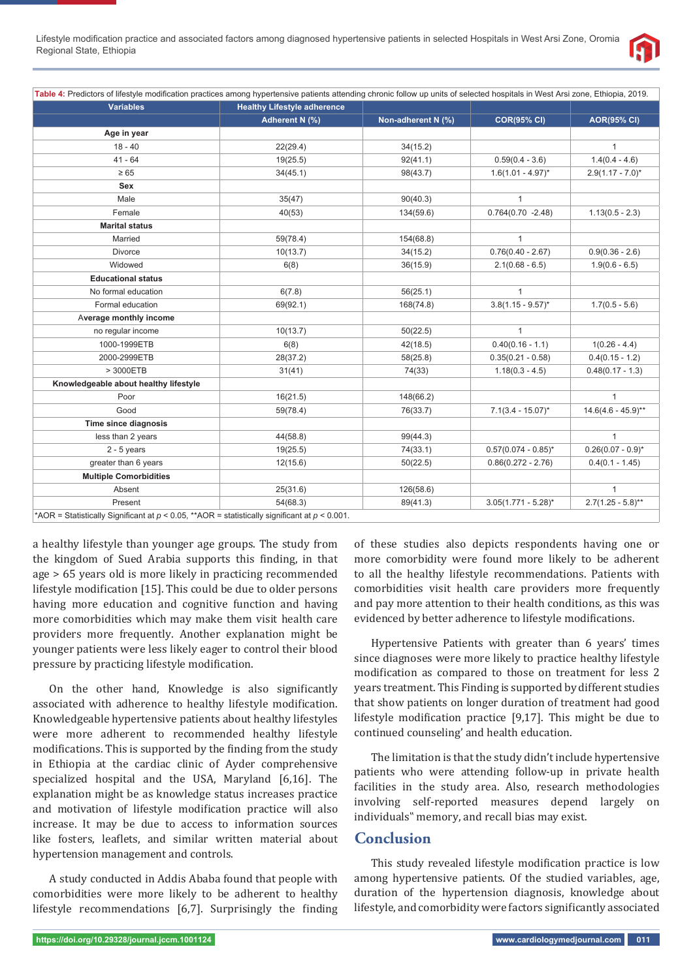

| <b>Variables</b>                      | <b>Healthy Lifestyle adherence</b> |                    |                          |                        |
|---------------------------------------|------------------------------------|--------------------|--------------------------|------------------------|
|                                       | <b>Adherent N (%)</b>              | Non-adherent N (%) | <b>COR(95% CI)</b>       | <b>AOR(95% CI)</b>     |
| Age in year                           |                                    |                    |                          |                        |
| $18 - 40$                             | 22(29.4)                           | 34(15.2)           |                          | $\mathbf{1}$           |
| $41 - 64$                             | 19(25.5)                           | 92(41.1)           | $0.59(0.4 - 3.6)$        | $1.4(0.4 - 4.6)$       |
| $\geq 65$                             | 34(45.1)                           | 98(43.7)           | $1.6(1.01 - 4.97)^{*}$   | $2.9(1.17 - 7.0)^{*}$  |
| <b>Sex</b>                            |                                    |                    |                          |                        |
| Male                                  | 35(47)                             | 90(40.3)           | $\mathbf{1}$             |                        |
| Female                                | 40(53)                             | 134(59.6)          | $0.764(0.70 - 2.48)$     | $1.13(0.5 - 2.3)$      |
| <b>Marital status</b>                 |                                    |                    |                          |                        |
| Married                               | 59(78.4)                           | 154(68.8)          | $\mathbf{1}$             |                        |
| <b>Divorce</b>                        | 10(13.7)                           | 34(15.2)           | $0.76(0.40 - 2.67)$      | $0.9(0.36 - 2.6)$      |
| Widowed                               | 6(8)                               | 36(15.9)           | $2.1(0.68 - 6.5)$        | $1.9(0.6 - 6.5)$       |
| <b>Educational status</b>             |                                    |                    |                          |                        |
| No formal education                   | 6(7.8)                             | 56(25.1)           | $\mathbf{1}$             |                        |
| Formal education                      | 69(92.1)                           | 168(74.8)          | $3.8(1.15 - 9.57)^{*}$   | $1.7(0.5 - 5.6)$       |
| Average monthly income                |                                    |                    |                          |                        |
| no regular income                     | 10(13.7)                           | 50(22.5)           | $\mathbf{1}$             |                        |
| 1000-1999ETB                          | 6(8)                               | 42(18.5)           | $0.40(0.16 - 1.1)$       | $1(0.26 - 4.4)$        |
| 2000-2999ETB                          | 28(37.2)                           | 58(25.8)           | $0.35(0.21 - 0.58)$      | $0.4(0.15 - 1.2)$      |
| > 3000ETB                             | 31(41)                             | 74(33)             | $1.18(0.3 - 4.5)$        | $0.48(0.17 - 1.3)$     |
| Knowledgeable about healthy lifestyle |                                    |                    |                          |                        |
| Poor                                  | 16(21.5)                           | 148(66.2)          |                          | $\mathbf{1}$           |
| Good                                  | 59(78.4)                           | 76(33.7)           | $7.1(3.4 - 15.07)^{*}$   | $14.6(4.6 - 45.9)$ **  |
| Time since diagnosis                  |                                    |                    |                          |                        |
| less than 2 years                     | 44(58.8)                           | 99(44.3)           |                          | $\mathbf{1}$           |
| $2 - 5$ years                         | 19(25.5)                           | 74(33.1)           | $0.57(0.074 - 0.85)^*$   | $0.26(0.07 - 0.9)^{*}$ |
| greater than 6 years                  | 12(15.6)                           | 50(22.5)           | $0.86(0.272 - 2.76)$     | $0.4(0.1 - 1.45)$      |
| <b>Multiple Comorbidities</b>         |                                    |                    |                          |                        |
| Absent                                | 25(31.6)                           | 126(58.6)          |                          | $\mathbf{1}$           |
| Present                               | 54(68.3)                           | 89(41.3)           | $3.05(1.771 - 5.28)^{*}$ | $2.7(1.25 - 5.8)$ **   |

\*AOR = Statistically Significant at  $p < 0.05$ , \*\*AOR = statistically significant at  $p < 0.001$ .

a healthy lifestyle than younger age groups. The study from the kingdom of Sued Arabia supports this finding, in that age > 65 years old is more likely in practicing recommended lifestyle modification [15]. This could be due to older persons having more education and cognitive function and having more comorbidities which may make them visit health care providers more frequently. Another explanation might be younger patients were less likely eager to control their blood pressure by practicing lifestyle modification.

On the other hand, Knowledge is also significantly associated with adherence to healthy lifestyle modification. Knowledgeable hypertensive patients about healthy lifestyles were more adherent to recommended healthy lifestyle modifications. This is supported by the finding from the study in Ethiopia at the cardiac clinic of Ayder comprehensive specialized hospital and the USA, Maryland [6,16]. The explanation might be as knowledge status increases practice and motivation of lifestyle modification practice will also increase. It may be due to access to information sources like fosters, leaflets, and similar written material about hypertension management and controls.

A study conducted in Addis Ababa found that people with comorbidities were more likely to be adherent to healthy lifestyle recommendations [6,7]. Surprisingly the finding of these studies also depicts respondents having one or more comorbidity were found more likely to be adherent to all the healthy lifestyle recommendations. Patients with comorbidities visit health care providers more frequently and pay more attention to their health conditions, as this was evidenced by better adherence to lifestyle modifications.

Hypertensive Patients with greater than 6 years' times since diagnoses were more likely to practice healthy lifestyle modification as compared to those on treatment for less 2 years treatment. This Finding is supported by different studies that show patients on longer duration of treatment had good lifestyle modification practice  $[9,17]$ . This might be due to continued counseling' and health education.

The limitation is that the study didn't include hypertensive patients who were attending follow-up in private health facilities in the study area. Also, research methodologies involving self-reported measures depend largely on individuals" memory, and recall bias may exist.

# **Conclusion**

This study revealed lifestyle modification practice is low among hypertensive patients. Of the studied variables, age, duration of the hypertension diagnosis, knowledge about lifestyle, and comorbidity were factors significantly associated